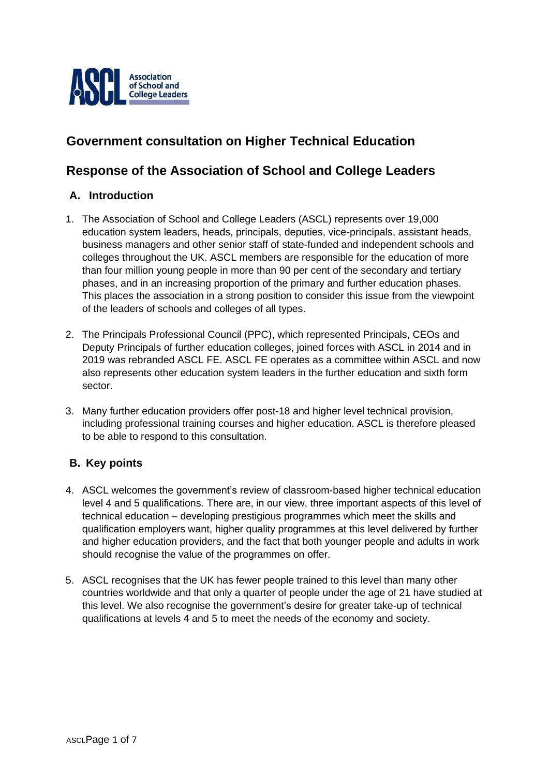

# **Government consultation on Higher Technical Education**

## **Response of the Association of School and College Leaders**

## **A. Introduction**

- 1. The Association of School and College Leaders (ASCL) represents over 19,000 education system leaders, heads, principals, deputies, vice-principals, assistant heads, business managers and other senior staff of state-funded and independent schools and colleges throughout the UK. ASCL members are responsible for the education of more than four million young people in more than 90 per cent of the secondary and tertiary phases, and in an increasing proportion of the primary and further education phases. This places the association in a strong position to consider this issue from the viewpoint of the leaders of schools and colleges of all types.
- 2. The Principals Professional Council (PPC), which represented Principals, CEOs and Deputy Principals of further education colleges, joined forces with ASCL in 2014 and in 2019 was rebranded ASCL FE. ASCL FE operates as a committee within ASCL and now also represents other education system leaders in the further education and sixth form sector.
- 3. Many further education providers offer post-18 and higher level technical provision, including professional training courses and higher education. ASCL is therefore pleased to be able to respond to this consultation.

## **B. Key points**

- 4. ASCL welcomes the government's review of classroom-based higher technical education level 4 and 5 qualifications. There are, in our view, three important aspects of this level of technical education – developing prestigious programmes which meet the skills and qualification employers want, higher quality programmes at this level delivered by further and higher education providers, and the fact that both younger people and adults in work should recognise the value of the programmes on offer.
- 5. ASCL recognises that the UK has fewer people trained to this level than many other countries worldwide and that only a quarter of people under the age of 21 have studied at this level. We also recognise the government's desire for greater take-up of technical qualifications at levels 4 and 5 to meet the needs of the economy and society.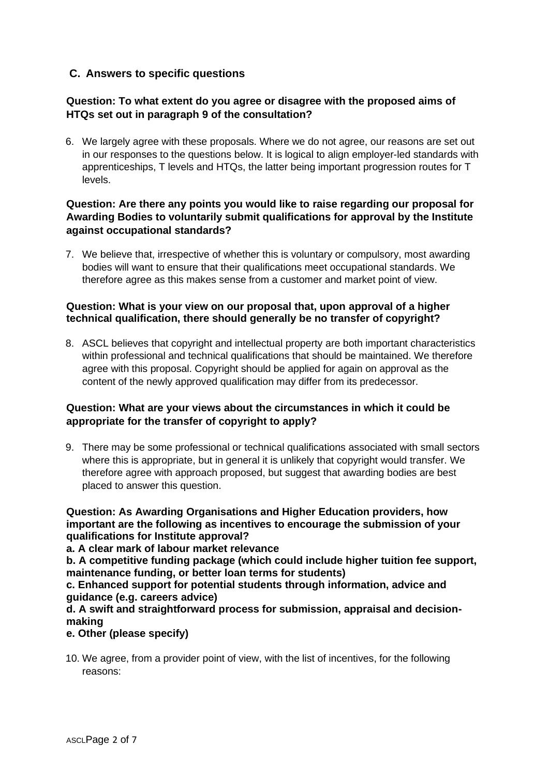## **C. Answers to specific questions**

## **Question: To what extent do you agree or disagree with the proposed aims of HTQs set out in paragraph 9 of the consultation?**

6. We largely agree with these proposals. Where we do not agree, our reasons are set out in our responses to the questions below. It is logical to align employer-led standards with apprenticeships, T levels and HTQs, the latter being important progression routes for T levels.

## **Question: Are there any points you would like to raise regarding our proposal for Awarding Bodies to voluntarily submit qualifications for approval by the Institute against occupational standards?**

7. We believe that, irrespective of whether this is voluntary or compulsory, most awarding bodies will want to ensure that their qualifications meet occupational standards. We therefore agree as this makes sense from a customer and market point of view.

#### **Question: What is your view on our proposal that, upon approval of a higher technical qualification, there should generally be no transfer of copyright?**

8. ASCL believes that copyright and intellectual property are both important characteristics within professional and technical qualifications that should be maintained. We therefore agree with this proposal. Copyright should be applied for again on approval as the content of the newly approved qualification may differ from its predecessor.

## **Question: What are your views about the circumstances in which it could be appropriate for the transfer of copyright to apply?**

9. There may be some professional or technical qualifications associated with small sectors where this is appropriate, but in general it is unlikely that copyright would transfer. We therefore agree with approach proposed, but suggest that awarding bodies are best placed to answer this question.

#### **Question: As Awarding Organisations and Higher Education providers, how important are the following as incentives to encourage the submission of your qualifications for Institute approval?**

**a. A clear mark of labour market relevance** 

**b. A competitive funding package (which could include higher tuition fee support, maintenance funding, or better loan terms for students)** 

**c. Enhanced support for potential students through information, advice and guidance (e.g. careers advice)** 

**d. A swift and straightforward process for submission, appraisal and decisionmaking** 

## **e. Other (please specify)**

10. We agree, from a provider point of view, with the list of incentives, for the following reasons: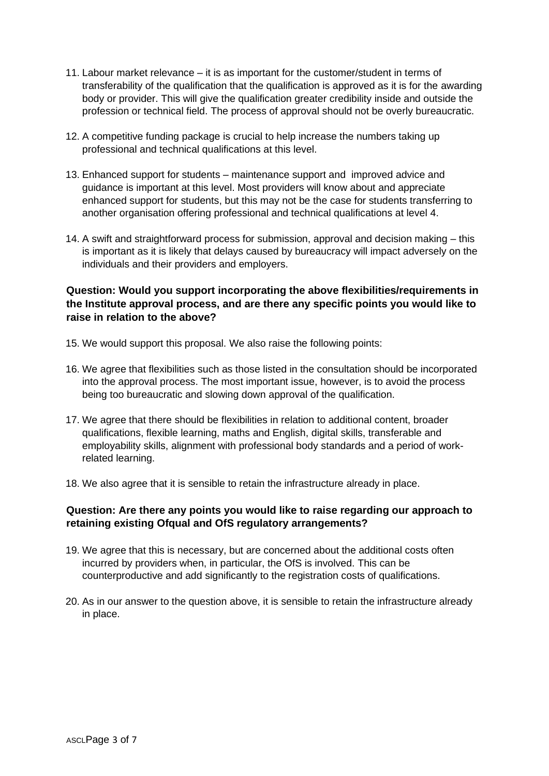- 11. Labour market relevance it is as important for the customer/student in terms of transferability of the qualification that the qualification is approved as it is for the awarding body or provider. This will give the qualification greater credibility inside and outside the profession or technical field. The process of approval should not be overly bureaucratic.
- 12. A competitive funding package is crucial to help increase the numbers taking up professional and technical qualifications at this level.
- 13. Enhanced support for students maintenance support and improved advice and guidance is important at this level. Most providers will know about and appreciate enhanced support for students, but this may not be the case for students transferring to another organisation offering professional and technical qualifications at level 4.
- 14. A swift and straightforward process for submission, approval and decision making this is important as it is likely that delays caused by bureaucracy will impact adversely on the individuals and their providers and employers.

## **Question: Would you support incorporating the above flexibilities/requirements in the Institute approval process, and are there any specific points you would like to raise in relation to the above?**

- 15. We would support this proposal. We also raise the following points:
- 16. We agree that flexibilities such as those listed in the consultation should be incorporated into the approval process. The most important issue, however, is to avoid the process being too bureaucratic and slowing down approval of the qualification.
- 17. We agree that there should be flexibilities in relation to additional content, broader qualifications, flexible learning, maths and English, digital skills, transferable and employability skills, alignment with professional body standards and a period of workrelated learning.
- 18. We also agree that it is sensible to retain the infrastructure already in place.

#### **Question: Are there any points you would like to raise regarding our approach to retaining existing Ofqual and OfS regulatory arrangements?**

- 19. We agree that this is necessary, but are concerned about the additional costs often incurred by providers when, in particular, the OfS is involved. This can be counterproductive and add significantly to the registration costs of qualifications.
- 20. As in our answer to the question above, it is sensible to retain the infrastructure already in place.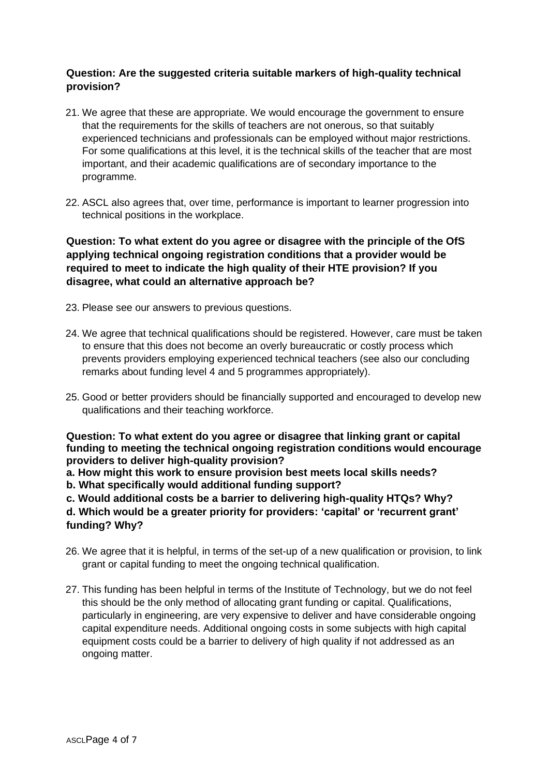## **Question: Are the suggested criteria suitable markers of high-quality technical provision?**

- 21. We agree that these are appropriate. We would encourage the government to ensure that the requirements for the skills of teachers are not onerous, so that suitably experienced technicians and professionals can be employed without major restrictions. For some qualifications at this level, it is the technical skills of the teacher that are most important, and their academic qualifications are of secondary importance to the programme.
- 22. ASCL also agrees that, over time, performance is important to learner progression into technical positions in the workplace.

**Question: To what extent do you agree or disagree with the principle of the OfS applying technical ongoing registration conditions that a provider would be required to meet to indicate the high quality of their HTE provision? If you disagree, what could an alternative approach be?**

- 23. Please see our answers to previous questions.
- 24. We agree that technical qualifications should be registered. However, care must be taken to ensure that this does not become an overly bureaucratic or costly process which prevents providers employing experienced technical teachers (see also our concluding remarks about funding level 4 and 5 programmes appropriately).
- 25. Good or better providers should be financially supported and encouraged to develop new qualifications and their teaching workforce.

**Question: To what extent do you agree or disagree that linking grant or capital funding to meeting the technical ongoing registration conditions would encourage providers to deliver high-quality provision?** 

**a. How might this work to ensure provision best meets local skills needs?** 

**b. What specifically would additional funding support?** 

**c. Would additional costs be a barrier to delivering high-quality HTQs? Why?** 

**d. Which would be a greater priority for providers: 'capital' or 'recurrent grant' funding? Why?**

- 26. We agree that it is helpful, in terms of the set-up of a new qualification or provision, to link grant or capital funding to meet the ongoing technical qualification.
- 27. This funding has been helpful in terms of the Institute of Technology, but we do not feel this should be the only method of allocating grant funding or capital. Qualifications, particularly in engineering, are very expensive to deliver and have considerable ongoing capital expenditure needs. Additional ongoing costs in some subjects with high capital equipment costs could be a barrier to delivery of high quality if not addressed as an ongoing matter.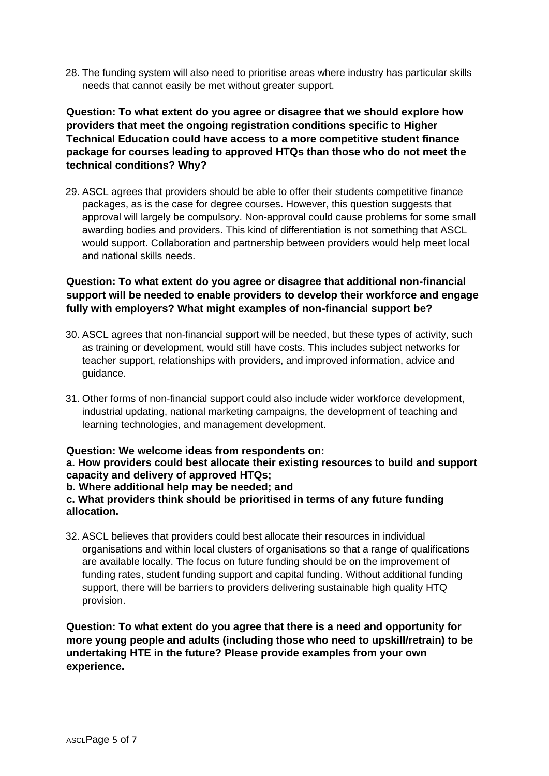28. The funding system will also need to prioritise areas where industry has particular skills needs that cannot easily be met without greater support.

**Question: To what extent do you agree or disagree that we should explore how providers that meet the ongoing registration conditions specific to Higher Technical Education could have access to a more competitive student finance package for courses leading to approved HTQs than those who do not meet the technical conditions? Why?**

29. ASCL agrees that providers should be able to offer their students competitive finance packages, as is the case for degree courses. However, this question suggests that approval will largely be compulsory. Non-approval could cause problems for some small awarding bodies and providers. This kind of differentiation is not something that ASCL would support. Collaboration and partnership between providers would help meet local and national skills needs.

## **Question: To what extent do you agree or disagree that additional non-financial support will be needed to enable providers to develop their workforce and engage fully with employers? What might examples of non-financial support be?**

- 30. ASCL agrees that non-financial support will be needed, but these types of activity, such as training or development, would still have costs. This includes subject networks for teacher support, relationships with providers, and improved information, advice and guidance.
- 31. Other forms of non-financial support could also include wider workforce development, industrial updating, national marketing campaigns, the development of teaching and learning technologies, and management development.

#### **Question: We welcome ideas from respondents on:**

#### **a. How providers could best allocate their existing resources to build and support capacity and delivery of approved HTQs;**

#### **b. Where additional help may be needed; and**

#### **c. What providers think should be prioritised in terms of any future funding allocation.**

32. ASCL believes that providers could best allocate their resources in individual organisations and within local clusters of organisations so that a range of qualifications are available locally. The focus on future funding should be on the improvement of funding rates, student funding support and capital funding. Without additional funding support, there will be barriers to providers delivering sustainable high quality HTQ provision.

**Question: To what extent do you agree that there is a need and opportunity for more young people and adults (including those who need to upskill/retrain) to be undertaking HTE in the future? Please provide examples from your own experience.**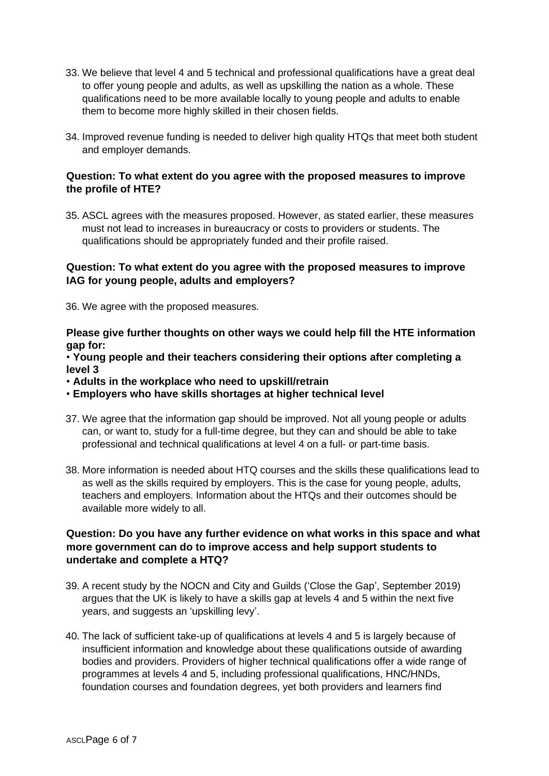- 33. We believe that level 4 and 5 technical and professional qualifications have a great deal to offer young people and adults, as well as upskilling the nation as a whole. These qualifications need to be more available locally to young people and adults to enable them to become more highly skilled in their chosen fields.
- 34. Improved revenue funding is needed to deliver high quality HTQs that meet both student and employer demands.

#### **Question: To what extent do you agree with the proposed measures to improve the profile of HTE?**

35. ASCL agrees with the measures proposed. However, as stated earlier, these measures must not lead to increases in bureaucracy or costs to providers or students. The qualifications should be appropriately funded and their profile raised.

### **Question: To what extent do you agree with the proposed measures to improve IAG for young people, adults and employers?**

36. We agree with the proposed measures.

**Please give further thoughts on other ways we could help fill the HTE information gap for:** 

• **Young people and their teachers considering their options after completing a level 3** 

• **Adults in the workplace who need to upskill/retrain** 

• **Employers who have skills shortages at higher technical level** 

- 37. We agree that the information gap should be improved. Not all young people or adults can, or want to, study for a full-time degree, but they can and should be able to take professional and technical qualifications at level 4 on a full- or part-time basis.
- 38. More information is needed about HTQ courses and the skills these qualifications lead to as well as the skills required by employers. This is the case for young people, adults, teachers and employers. Information about the HTQs and their outcomes should be available more widely to all.

## **Question: Do you have any further evidence on what works in this space and what more government can do to improve access and help support students to undertake and complete a HTQ?**

- 39. A recent study by the NOCN and City and Guilds ('Close the Gap', September 2019) argues that the UK is likely to have a skills gap at levels 4 and 5 within the next five years, and suggests an 'upskilling levy'.
- 40. The lack of sufficient take-up of qualifications at levels 4 and 5 is largely because of insufficient information and knowledge about these qualifications outside of awarding bodies and providers. Providers of higher technical qualifications offer a wide range of programmes at levels 4 and 5, including professional qualifications, HNC/HNDs, foundation courses and foundation degrees, yet both providers and learners find